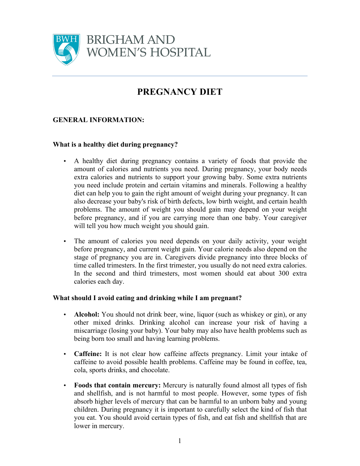

# **PREGNANCY DIET**

## **GENERAL INFORMATION:**

### **What is a healthy diet during pregnancy?**

- A healthy diet during pregnancy contains a variety of foods that provide the amount of calories and nutrients you need. During pregnancy, your body needs extra calories and nutrients to support your growing baby. Some extra nutrients you need include protein and certain vitamins and minerals. Following a healthy diet can help you to gain the right amount of weight during your pregnancy. It can also decrease your baby's risk of birth defects, low birth weight, and certain health problems. The amount of weight you should gain may depend on your weight before pregnancy, and if you are carrying more than one baby. Your caregiver will tell you how much weight you should gain.
- The amount of calories you need depends on your daily activity, your weight before pregnancy, and current weight gain. Your calorie needs also depend on the stage of pregnancy you are in. Caregivers divide pregnancy into three blocks of time called trimesters. In the first trimester, you usually do not need extra calories. In the second and third trimesters, most women should eat about 300 extra calories each day.

#### **What should I avoid eating and drinking while I am pregnant?**

- **Alcohol:** You should not drink beer, wine, liquor (such as whiskey or gin), or any other mixed drinks. Drinking alcohol can increase your risk of having a miscarriage (losing your baby). Your baby may also have health problems such as being born too small and having learning problems.
- **Caffeine:** It is not clear how caffeine affects pregnancy. Limit your intake of caffeine to avoid possible health problems. Caffeine may be found in coffee, tea, cola, sports drinks, and chocolate.
- **Foods that contain mercury:** Mercury is naturally found almost all types of fish and shellfish, and is not harmful to most people. However, some types of fish absorb higher levels of mercury that can be harmful to an unborn baby and young children. During pregnancy it is important to carefully select the kind of fish that you eat. You should avoid certain types of fish, and eat fish and shellfish that are lower in mercury.